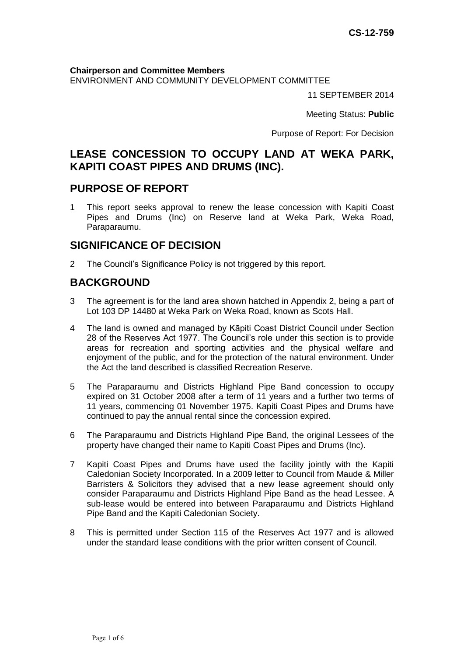**Chairperson and Committee Members**

ENVIRONMENT AND COMMUNITY DEVELOPMENT COMMITTEE

11 SEPTEMBER 2014

Meeting Status: **Public**

Purpose of Report: For Decision

# **LEASE CONCESSION TO OCCUPY LAND AT WEKA PARK, KAPITI COAST PIPES AND DRUMS (INC).**

## **PURPOSE OF REPORT**

1 This report seeks approval to renew the lease concession with Kapiti Coast Pipes and Drums (Inc) on Reserve land at Weka Park, Weka Road, Paraparaumu.

## **SIGNIFICANCE OF DECISION**

2 The Council's Significance Policy is not triggered by this report.

# **BACKGROUND**

- 3 The agreement is for the land area shown hatched in Appendix 2, being a part of Lot 103 DP 14480 at Weka Park on Weka Road, known as Scots Hall.
- 4 The land is owned and managed by Kāpiti Coast District Council under Section 28 of the Reserves Act 1977. The Council's role under this section is to provide areas for recreation and sporting activities and the physical welfare and enjoyment of the public, and for the protection of the natural environment. Under the Act the land described is classified Recreation Reserve.
- 5 The Paraparaumu and Districts Highland Pipe Band concession to occupy expired on 31 October 2008 after a term of 11 years and a further two terms of 11 years, commencing 01 November 1975. Kapiti Coast Pipes and Drums have continued to pay the annual rental since the concession expired.
- 6 The Paraparaumu and Districts Highland Pipe Band, the original Lessees of the property have changed their name to Kapiti Coast Pipes and Drums (Inc).
- 7 Kapiti Coast Pipes and Drums have used the facility jointly with the Kapiti Caledonian Society Incorporated. In a 2009 letter to Council from Maude & Miller Barristers & Solicitors they advised that a new lease agreement should only consider Paraparaumu and Districts Highland Pipe Band as the head Lessee. A sub-lease would be entered into between Paraparaumu and Districts Highland Pipe Band and the Kapiti Caledonian Society.
- 8 This is permitted under Section 115 of the Reserves Act 1977 and is allowed under the standard lease conditions with the prior written consent of Council.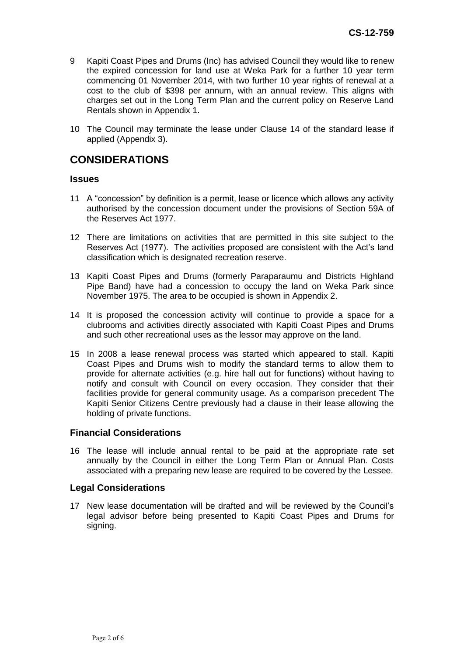- 9 Kapiti Coast Pipes and Drums (Inc) has advised Council they would like to renew the expired concession for land use at Weka Park for a further 10 year term commencing 01 November 2014, with two further 10 year rights of renewal at a cost to the club of \$398 per annum, with an annual review. This aligns with charges set out in the Long Term Plan and the current policy on Reserve Land Rentals shown in Appendix 1.
- 10 The Council may terminate the lease under Clause 14 of the standard lease if applied (Appendix 3).

## **CONSIDERATIONS**

#### **Issues**

- 11 A "concession" by definition is a permit, lease or licence which allows any activity authorised by the concession document under the provisions of Section 59A of the Reserves Act 1977.
- 12 There are limitations on activities that are permitted in this site subject to the Reserves Act (1977). The activities proposed are consistent with the Act's land classification which is designated recreation reserve.
- 13 Kapiti Coast Pipes and Drums (formerly Paraparaumu and Districts Highland Pipe Band) have had a concession to occupy the land on Weka Park since November 1975. The area to be occupied is shown in Appendix 2.
- 14 It is proposed the concession activity will continue to provide a space for a clubrooms and activities directly associated with Kapiti Coast Pipes and Drums and such other recreational uses as the lessor may approve on the land.
- 15 In 2008 a lease renewal process was started which appeared to stall. Kapiti Coast Pipes and Drums wish to modify the standard terms to allow them to provide for alternate activities (e.g. hire hall out for functions) without having to notify and consult with Council on every occasion. They consider that their facilities provide for general community usage. As a comparison precedent The Kapiti Senior Citizens Centre previously had a clause in their lease allowing the holding of private functions.

#### **Financial Considerations**

16 The lease will include annual rental to be paid at the appropriate rate set annually by the Council in either the Long Term Plan or Annual Plan. Costs associated with a preparing new lease are required to be covered by the Lessee.

#### **Legal Considerations**

17 New lease documentation will be drafted and will be reviewed by the Council's legal advisor before being presented to Kapiti Coast Pipes and Drums for signing.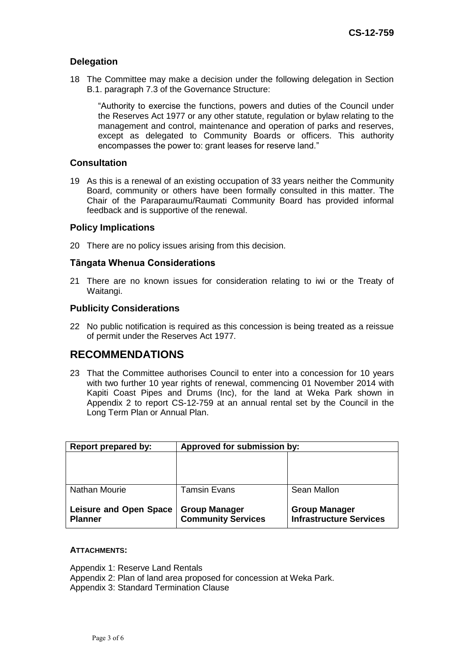### **Delegation**

18 The Committee may make a decision under the following delegation in Section B.1. paragraph 7.3 of the Governance Structure:

"Authority to exercise the functions, powers and duties of the Council under the Reserves Act 1977 or any other statute, regulation or bylaw relating to the management and control, maintenance and operation of parks and reserves, except as delegated to Community Boards or officers. This authority encompasses the power to: grant leases for reserve land."

### **Consultation**

19 As this is a renewal of an existing occupation of 33 years neither the Community Board, community or others have been formally consulted in this matter. The Chair of the Paraparaumu/Raumati Community Board has provided informal feedback and is supportive of the renewal.

#### **Policy Implications**

20 There are no policy issues arising from this decision.

### **Tāngata Whenua Considerations**

21 There are no known issues for consideration relating to iwi or the Treaty of Waitangi.

### **Publicity Considerations**

22 No public notification is required as this concession is being treated as a reissue of permit under the Reserves Act 1977.

## **RECOMMENDATIONS**

23 That the Committee authorises Council to enter into a concession for 10 years with two further 10 year rights of renewal, commencing 01 November 2014 with Kapiti Coast Pipes and Drums (Inc), for the land at Weka Park shown in Appendix 2 to report CS-12-759 at an annual rental set by the Council in the Long Term Plan or Annual Plan.

| Report prepared by:                             | Approved for submission by:                       |                                                        |
|-------------------------------------------------|---------------------------------------------------|--------------------------------------------------------|
|                                                 |                                                   |                                                        |
|                                                 |                                                   |                                                        |
|                                                 |                                                   |                                                        |
| Nathan Mourie                                   | <b>Tamsin Evans</b>                               | Sean Mallon                                            |
|                                                 |                                                   |                                                        |
| <b>Leisure and Open Space</b><br><b>Planner</b> | <b>Group Manager</b><br><b>Community Services</b> | <b>Group Manager</b><br><b>Infrastructure Services</b> |

#### **ATTACHMENTS:**

Appendix 1: Reserve Land Rentals Appendix 2: Plan of land area proposed for concession at Weka Park. Appendix 3: Standard Termination Clause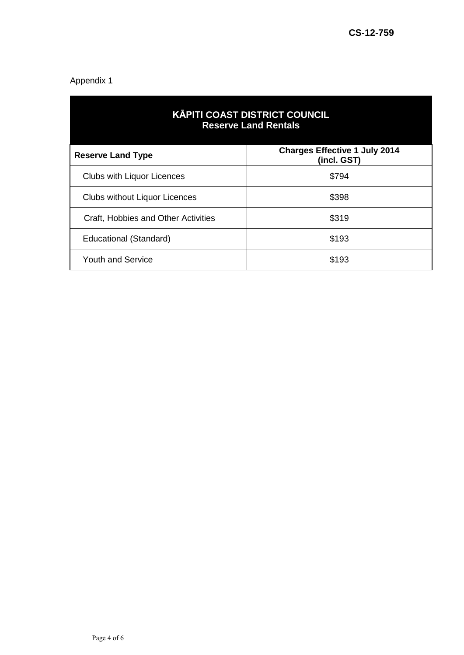### Appendix 1

| <b>KĀPITI COAST DISTRICT COUNCIL</b><br><b>Reserve Land Rentals</b> |                                                     |  |
|---------------------------------------------------------------------|-----------------------------------------------------|--|
| <b>Reserve Land Type</b>                                            | <b>Charges Effective 1 July 2014</b><br>(incl. GST) |  |
| <b>Clubs with Liquor Licences</b>                                   | \$794                                               |  |
| <b>Clubs without Liquor Licences</b>                                | \$398                                               |  |
| Craft, Hobbies and Other Activities                                 | \$319                                               |  |
| Educational (Standard)                                              | \$193                                               |  |
| <b>Youth and Service</b>                                            | \$193                                               |  |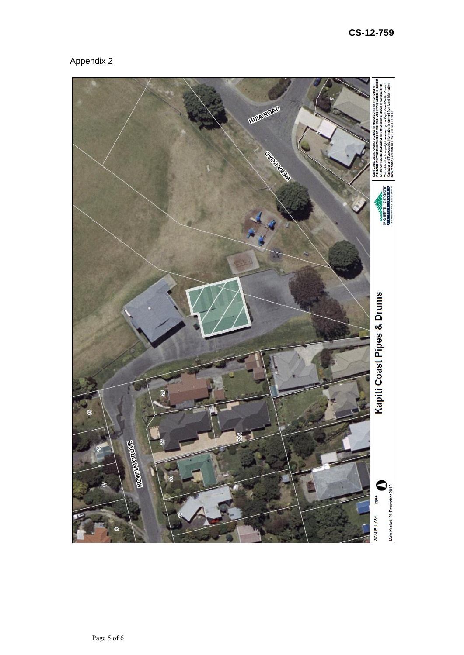# Appendix 2